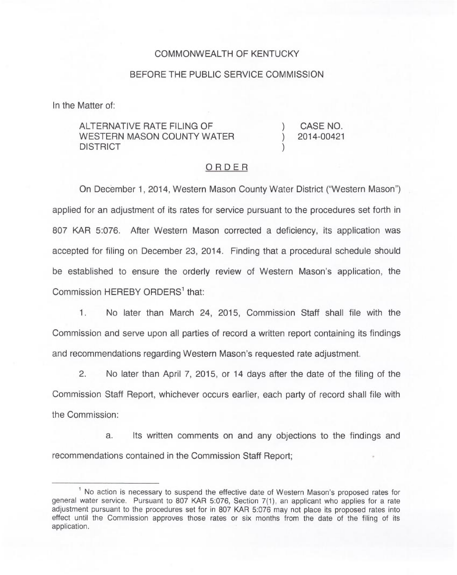## COMMONWEALTH OF KENTUCKY

## BEFORE THE PUBLIC SERVICE COMMISSION

In the Matter of:

ALTERNATIVE RATE FILING OF WESTERN MASON COUNTY WATER DISTRICT

) CASE NO. ) 2014-00421

)

## ORDER

On December 1, 2014, Western Mason County Water District ("Western Mason" ) applied for an adjustment of its rates for service pursuant to the procedures set forth in 807 KAR 5:076. After Western Mason corrected a deficiency, its application was accepted for filing on December 23, 2014. Finding that a procedural schedule should be established to ensure the orderly review of Western Mason's application, the Commission HEREBY ORDERS<sup>1</sup> that:

 $1.$ No later than March 24, 2015, Commission Staff shall file with the Commission and serve upon all parties of record a written report containing its findings and recommendations regarding Western Mason's requested rate adjustment.

2. No later than April 7, 2015, or 14 days after the date of the filing of the Commission Staff Report, whichever occurs earlier, each party of record shall file with the Commission:

a. Its written comments on and any objections to the findings and recommendations contained in the Commission Staff Report;

 $<sup>1</sup>$  No action is necessary to suspend the effective date of Western Mason's proposed rates for</sup> general water service. Pursuant to 807 KAR 5:076, Section 7(1), an applicant who applies for a rate adjustment pursuant to the procedures set for in 807 KAR 5:076 may not place its proposed rates into effect until the Commission approves those rates or six months from the date of the filing of its application.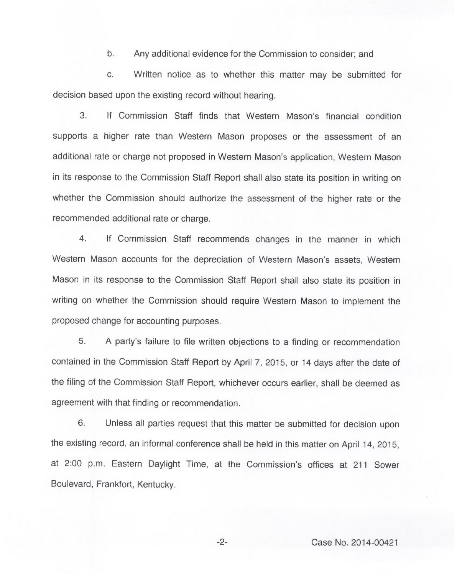b. Any additional evidence for the Commission to consider; and

c. Written notice as to whether this matter may be submitted for decision based upon the existing record without hearing.

3. If Commission Staff finds that Western Mason's financial condition supports a higher rate than Western Mason proposes or the assessment of an additional rate or charge not proposed in Western Mason's application, Western Mason in its response to the Commission Staff Report shall also state its position in writing on whether the Commission should authorize the assessment of the higher rate or the recommended additional rate or charge.

4. If Commission Staff recommends changes in the manner in which Western Mason accounts for the depreciation of Western Mason's assets, Western Mason in its response to the Commission Staff Report shall also state its position in writing on whether the Commission should require Western Mason to implement the proposed change for accounting purposes.

5. <sup>A</sup> party's failure to file written objections to a finding or recommendation contained in the Commission Staff Report by April 7, 2015, or 14 days after the date of the filing of the Commission Staff Report, whichever occurs earlier, shall be deemed as agreement with that finding or recommendation.

6. Unless all parties request that this matter be submitted for decision upon the existing record, an informal conference shall be held in this matter on April 14, 2015, at 2:00 p.m. Eastern Daylight Time, at the Commission's offices at 211 Sower Boulevard, Frankfort, Kentucky.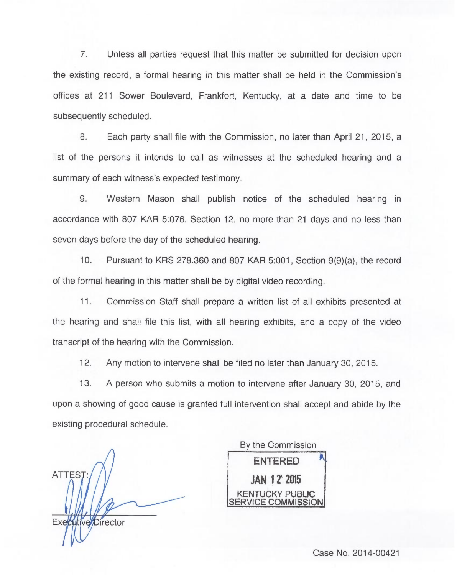7. Unless all parties request that this matter be submitted for decision upon the existing record, a formal hearing in this matter shall be held in the Commission's offices at 211 Sower Boulevard, Frankfort, Kentucky, at a date and time to be subsequently scheduled.

8. Each party shall file with the Commission, no later than April 21, 2015, a list of the persons it intends to call as witnesses at the scheduled hearing and a summary of each witness's expected testimony.

9. Western Mason shall publish notice of the scheduled hearing in accordance with 807 KAR 5:076, Section 12, no more than 21 days and no less than seven days before the day of the scheduled hearing.

10. Pursuant to KRS 278.360 and 807 KAR 5:001, Section 9(9)(a), the record of the formal hearing in this matter shall be by digital video recording.

11. Commission Staff shall prepare a written list of all exhibits presented at the hearing and shall file this list, with all hearing exhibits, and a copy of the video transcript of the hearing with the Commission.

12. Any motion to intervene shall be filed no later than January 30, 2015.

13. <sup>A</sup> person who submits a motion to intervene after January 30, 2015, and upon a showing of good cause is granted full intervention shall accept and abide by the existing procedural schedule.

ATTEST: Executive Director

By the Commission ENTERED JAN 12' 2015 JCKY PUBLIC COMMISSION

Case No. 2014-00421